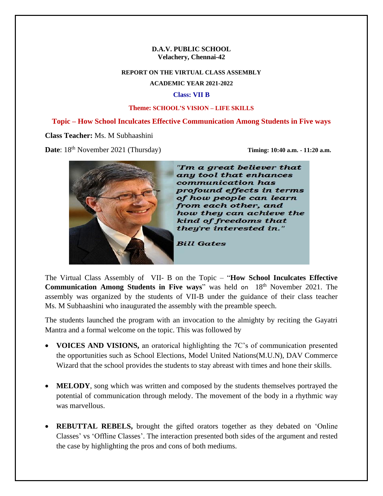#### **D.A.V. PUBLIC SCHOOL Velachery, Chennai-42**

# **REPORT ON THE VIRTUAL CLASS ASSEMBLY**

**ACADEMIC YEAR 2021-2022**

#### **Class: VII B**

#### **Theme: SCHOOL'S VISION – LIFE SKILLS**

## **Topic – How School Inculcates Effective Communication Among Students in Five ways**

### **Class Teacher:** Ms. M Subhaashini

**Date**:  $18<sup>th</sup>$  November 2021 (Thursday) **Timing: 10:40 a.m.** - 11:20 a.m.



"I'm a great believer that any tool that enhances communication has profound effects in terms of how people can learn from each other, and how they can achieve the kind of freedoms that they're interested in."

**Bill Gates** 

The Virtual Class Assembly of VII- B on the Topic – "**How School Inculcates Effective Communication Among Students in Five ways"** was held on 18<sup>th</sup> November 2021. The assembly was organized by the students of VII-B under the guidance of their class teacher Ms. M Subhaashini who inaugurated the assembly with the preamble speech.

The students launched the program with an invocation to the almighty by reciting the Gayatri Mantra and a formal welcome on the topic. This was followed by

- **VOICES AND VISIONS,** an oratorical highlighting the 7C's of communication presented the opportunities such as School Elections, Model United Nations(M.U.N), DAV Commerce Wizard that the school provides the students to stay abreast with times and hone their skills.
- **MELODY**, song which was written and composed by the students themselves portrayed the potential of communication through melody. The movement of the body in a rhythmic way was marvellous.
- **REBUTTAL REBELS,** brought the gifted orators together as they debated on 'Online Classes' vs 'Offline Classes'. The interaction presented both sides of the argument and rested the case by highlighting the pros and cons of both mediums.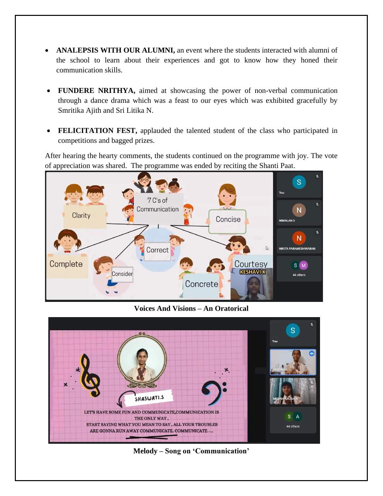- **ANALEPSIS WITH OUR ALUMNI,** an event where the students interacted with alumni of the school to learn about their experiences and got to know how they honed their communication skills.
- **FUNDERE NRITHYA,** aimed at showcasing the power of non-verbal communication through a dance drama which was a feast to our eyes which was exhibited gracefully by Smritika Ajith and Sri Litika N.
- **FELICITATION FEST,** applauded the talented student of the class who participated in competitions and bagged prizes.

After hearing the hearty comments, the students continued on the programme with joy. The vote of appreciation was shared. The programme was ended by reciting the Shanti Paat.



**Voices And Visions – An Oratorical**



**Melody – Song on 'Communication'**